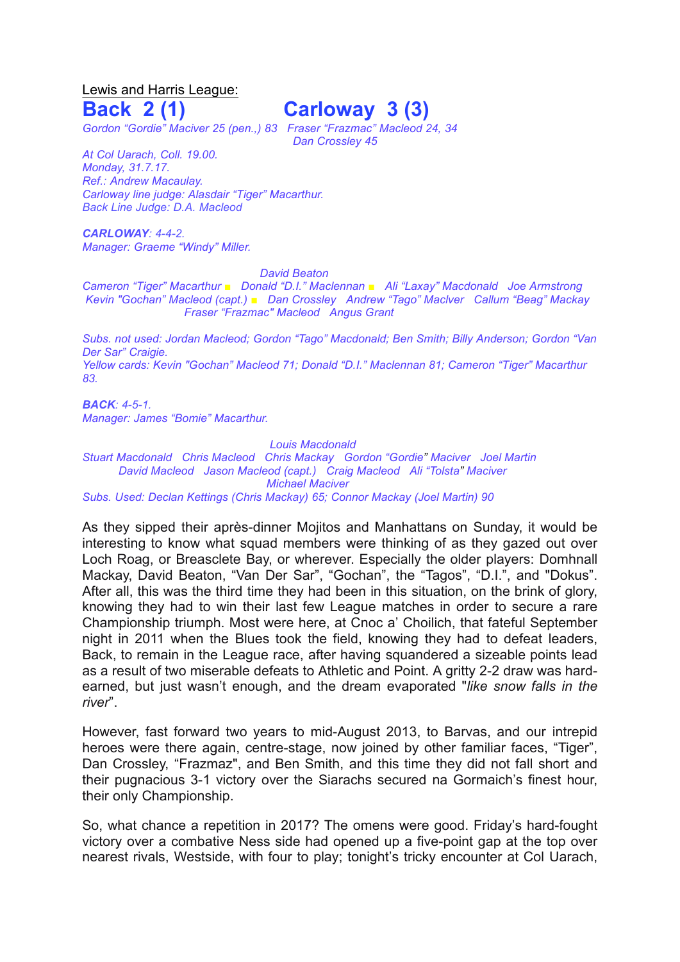Lewis and Harris League:

## **Back 2 (1) Carloway 3 (3)**

*Dan Crossley 45*

*Gordon "Gordie" Maciver 25 (pen.,) 83 Fraser "Frazmac" Macleod 24, 34*

*At Col Uarach, Coll. 19.00. Monday, 31.7.17. Ref.: Andrew Macaulay. Carloway line judge: Alasdair "Tiger" Macarthur. Back Line Judge: D.A. Macleod*

*CARLOWAY: 4-4-2. Manager: Graeme "Windy" Miller.*

*David Beaton*

*Cameron "Tiger" Macarthur ■ Donald "D.I." Maclennan ■ Ali "Laxay" Macdonald Joe Armstrong Kevin "Gochan" Macleod (capt.) ■ Dan Crossley Andrew "Tago" Maclver Callum "Beag" Mackay Fraser "Frazmac" Macleod Angus Grant*

*Subs. not used: Jordan Macleod; Gordon "Tago" Macdonald; Ben Smith; Billy Anderson; Gordon "Van Der Sar" Craigie. Yellow cards: Kevin "Gochan" Macleod 71; Donald "D.I." Maclennan 81; Cameron "Tiger" Macarthur 83.* 

*BACK: 4-5-1. Manager: James "Bomie" Macarthur.*

## *Louis Macdonald*

*Stuart Macdonald Chris Macleod Chris Mackay Gordon "Gordie" Maciver Joel Martin David Macleod Jason Macleod (capt.) Craig Macleod Ali "Tolsta" Maciver Michael Maciver Subs. Used: Declan Kettings (Chris Mackay) 65; Connor Mackay (Joel Martin) 90*

As they sipped their après-dinner Mojitos and Manhattans on Sunday, it would be interesting to know what squad members were thinking of as they gazed out over Loch Roag, or Breasclete Bay, or wherever. Especially the older players: Domhnall Mackay, David Beaton, "Van Der Sar", "Gochan", the "Tagos", "D.I.", and "Dokus". After all, this was the third time they had been in this situation, on the brink of glory, knowing they had to win their last few League matches in order to secure a rare Championship triumph. Most were here, at Cnoc a' Choilich, that fateful September night in 2011 when the Blues took the field, knowing they had to defeat leaders, Back, to remain in the League race, after having squandered a sizeable points lead as a result of two miserable defeats to Athletic and Point. A gritty 2-2 draw was hardearned, but just wasn't enough, and the dream evaporated "*like snow falls in the river*".

However, fast forward two years to mid-August 2013, to Barvas, and our intrepid heroes were there again, centre-stage, now joined by other familiar faces, "Tiger", Dan Crossley, "Frazmaz", and Ben Smith, and this time they did not fall short and their pugnacious 3-1 victory over the Siarachs secured na Gormaich's finest hour, their only Championship.

So, what chance a repetition in 2017? The omens were good. Friday's hard-fought victory over a combative Ness side had opened up a five-point gap at the top over nearest rivals, Westside, with four to play; tonight's tricky encounter at Col Uarach,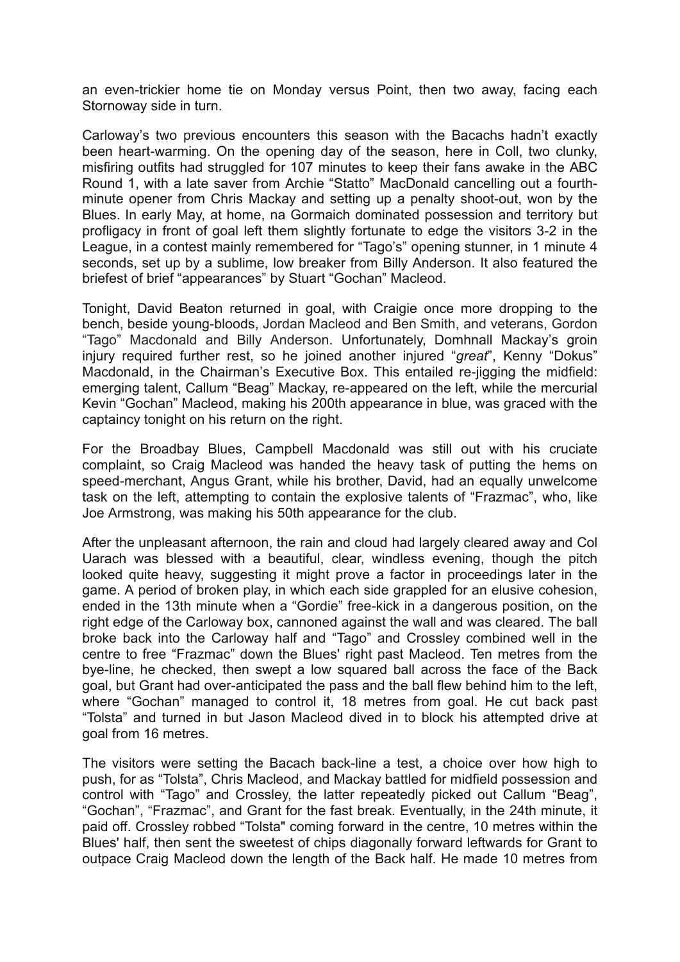an even-trickier home tie on Monday versus Point, then two away, facing each Stornoway side in turn.

Carloway's two previous encounters this season with the Bacachs hadn't exactly been heart-warming. On the opening day of the season, here in Coll, two clunky, misfiring outfits had struggled for 107 minutes to keep their fans awake in the ABC Round 1, with a late saver from Archie "Statto" MacDonald cancelling out a fourthminute opener from Chris Mackay and setting up a penalty shoot-out, won by the Blues. In early May, at home, na Gormaich dominated possession and territory but profligacy in front of goal left them slightly fortunate to edge the visitors 3-2 in the League, in a contest mainly remembered for "Tago's" opening stunner, in 1 minute 4 seconds, set up by a sublime, low breaker from Billy Anderson. It also featured the briefest of brief "appearances" by Stuart "Gochan" Macleod.

Tonight, David Beaton returned in goal, with Craigie once more dropping to the bench, beside young-bloods, Jordan Macleod and Ben Smith, and veterans, Gordon "Tago" Macdonald and Billy Anderson. Unfortunately, Domhnall Mackay's groin injury required further rest, so he joined another injured "*great*", Kenny "Dokus" Macdonald, in the Chairman's Executive Box. This entailed re-jigging the midfield: emerging talent, Callum "Beag" Mackay, re-appeared on the left, while the mercurial Kevin "Gochan" Macleod, making his 200th appearance in blue, was graced with the captaincy tonight on his return on the right.

For the Broadbay Blues, Campbell Macdonald was still out with his cruciate complaint, so Craig Macleod was handed the heavy task of putting the hems on speed-merchant, Angus Grant, while his brother, David, had an equally unwelcome task on the left, attempting to contain the explosive talents of "Frazmac", who, like Joe Armstrong, was making his 50th appearance for the club.

After the unpleasant afternoon, the rain and cloud had largely cleared away and Col Uarach was blessed with a beautiful, clear, windless evening, though the pitch looked quite heavy, suggesting it might prove a factor in proceedings later in the game. A period of broken play, in which each side grappled for an elusive cohesion, ended in the 13th minute when a "Gordie" free-kick in a dangerous position, on the right edge of the Carloway box, cannoned against the wall and was cleared. The ball broke back into the Carloway half and "Tago" and Crossley combined well in the centre to free "Frazmac" down the Blues' right past Macleod. Ten metres from the bye-line, he checked, then swept a low squared ball across the face of the Back goal, but Grant had over-anticipated the pass and the ball flew behind him to the left, where "Gochan" managed to control it, 18 metres from goal. He cut back past "Tolsta" and turned in but Jason Macleod dived in to block his attempted drive at goal from 16 metres.

The visitors were setting the Bacach back-line a test, a choice over how high to push, for as "Tolsta", Chris Macleod, and Mackay battled for midfield possession and control with "Tago" and Crossley, the latter repeatedly picked out Callum "Beag", "Gochan", "Frazmac", and Grant for the fast break. Eventually, in the 24th minute, it paid off. Crossley robbed "Tolsta" coming forward in the centre, 10 metres within the Blues' half, then sent the sweetest of chips diagonally forward leftwards for Grant to outpace Craig Macleod down the length of the Back half. He made 10 metres from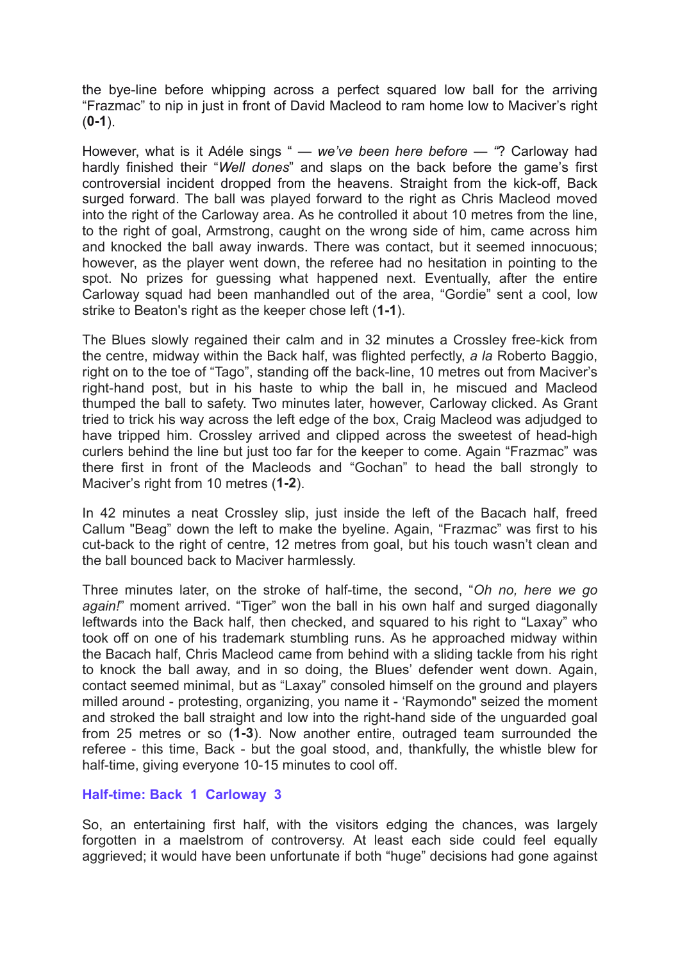the bye-line before whipping across a perfect squared low ball for the arriving "Frazmac" to nip in just in front of David Macleod to ram home low to Maciver's right (**0-1**).

However, what is it Adéle sings " *— we've been here before — "*? Carloway had hardly finished their "*Well dones*" and slaps on the back before the game's first controversial incident dropped from the heavens. Straight from the kick-off, Back surged forward. The ball was played forward to the right as Chris Macleod moved into the right of the Carloway area. As he controlled it about 10 metres from the line, to the right of goal, Armstrong, caught on the wrong side of him, came across him and knocked the ball away inwards. There was contact, but it seemed innocuous; however, as the player went down, the referee had no hesitation in pointing to the spot. No prizes for guessing what happened next. Eventually, after the entire Carloway squad had been manhandled out of the area, "Gordie" sent a cool, low strike to Beaton's right as the keeper chose left (**1-1**).

The Blues slowly regained their calm and in 32 minutes a Crossley free-kick from the centre, midway within the Back half, was flighted perfectly, *a la* Roberto Baggio, right on to the toe of "Tago", standing off the back-line, 10 metres out from Maciver's right-hand post, but in his haste to whip the ball in, he miscued and Macleod thumped the ball to safety. Two minutes later, however, Carloway clicked. As Grant tried to trick his way across the left edge of the box, Craig Macleod was adjudged to have tripped him. Crossley arrived and clipped across the sweetest of head-high curlers behind the line but just too far for the keeper to come. Again "Frazmac" was there first in front of the Macleods and "Gochan" to head the ball strongly to Maciver's right from 10 metres (**1-2**).

In 42 minutes a neat Crossley slip, just inside the left of the Bacach half, freed Callum "Beag" down the left to make the byeline. Again, "Frazmac" was first to his cut-back to the right of centre, 12 metres from goal, but his touch wasn't clean and the ball bounced back to Maciver harmlessly.

Three minutes later, on the stroke of half-time, the second, "*Oh no, here we go again!*" moment arrived. "Tiger" won the ball in his own half and surged diagonally leftwards into the Back half, then checked, and squared to his right to "Laxay" who took off on one of his trademark stumbling runs. As he approached midway within the Bacach half, Chris Macleod came from behind with a sliding tackle from his right to knock the ball away, and in so doing, the Blues' defender went down. Again, contact seemed minimal, but as "Laxay" consoled himself on the ground and players milled around - protesting, organizing, you name it - 'Raymondo" seized the moment and stroked the ball straight and low into the right-hand side of the unguarded goal from 25 metres or so (**1-3**). Now another entire, outraged team surrounded the referee - this time, Back - but the goal stood, and, thankfully, the whistle blew for half-time, giving everyone 10-15 minutes to cool off.

## **Half-time: Back 1 Carloway 3**

So, an entertaining first half, with the visitors edging the chances, was largely forgotten in a maelstrom of controversy. At least each side could feel equally aggrieved; it would have been unfortunate if both "huge" decisions had gone against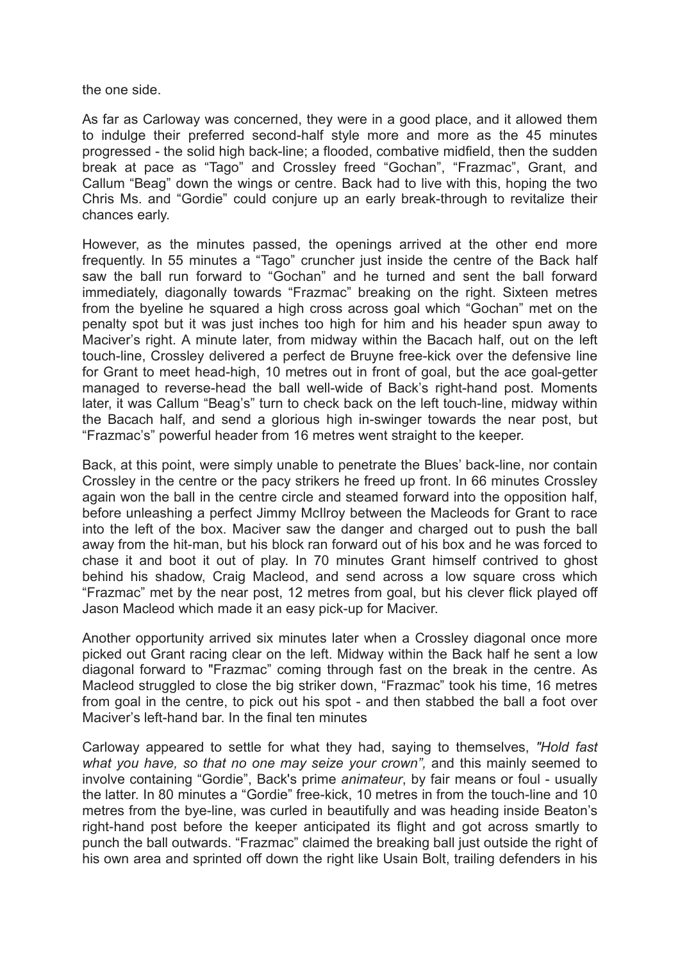the one side.

As far as Carloway was concerned, they were in a good place, and it allowed them to indulge their preferred second-half style more and more as the 45 minutes progressed - the solid high back-line; a flooded, combative midfield, then the sudden break at pace as "Tago" and Crossley freed "Gochan", "Frazmac", Grant, and Callum "Beag" down the wings or centre. Back had to live with this, hoping the two Chris Ms. and "Gordie" could conjure up an early break-through to revitalize their chances early.

However, as the minutes passed, the openings arrived at the other end more frequently. In 55 minutes a "Tago" cruncher just inside the centre of the Back half saw the ball run forward to "Gochan" and he turned and sent the ball forward immediately, diagonally towards "Frazmac" breaking on the right. Sixteen metres from the byeline he squared a high cross across goal which "Gochan" met on the penalty spot but it was just inches too high for him and his header spun away to Maciver's right. A minute later, from midway within the Bacach half, out on the left touch-line, Crossley delivered a perfect de Bruyne free-kick over the defensive line for Grant to meet head-high, 10 metres out in front of goal, but the ace goal-getter managed to reverse-head the ball well-wide of Back's right-hand post. Moments later, it was Callum "Beag's" turn to check back on the left touch-line, midway within the Bacach half, and send a glorious high in-swinger towards the near post, but "Frazmac's" powerful header from 16 metres went straight to the keeper.

Back, at this point, were simply unable to penetrate the Blues' back-line, nor contain Crossley in the centre or the pacy strikers he freed up front. In 66 minutes Crossley again won the ball in the centre circle and steamed forward into the opposition half, before unleashing a perfect Jimmy McIlroy between the Macleods for Grant to race into the left of the box. Maciver saw the danger and charged out to push the ball away from the hit-man, but his block ran forward out of his box and he was forced to chase it and boot it out of play. In 70 minutes Grant himself contrived to ghost behind his shadow, Craig Macleod, and send across a low square cross which "Frazmac" met by the near post, 12 metres from goal, but his clever flick played off Jason Macleod which made it an easy pick-up for Maciver.

Another opportunity arrived six minutes later when a Crossley diagonal once more picked out Grant racing clear on the left. Midway within the Back half he sent a low diagonal forward to "Frazmac" coming through fast on the break in the centre. As Macleod struggled to close the big striker down, "Frazmac" took his time, 16 metres from goal in the centre, to pick out his spot - and then stabbed the ball a foot over Maciver's left-hand bar. In the final ten minutes

Carloway appeared to settle for what they had, saying to themselves, *"Hold fast what you have, so that no one may seize your crown",* and this mainly seemed to involve containing "Gordie", Back's prime *animateur*, by fair means or foul - usually the latter. In 80 minutes a "Gordie" free-kick, 10 metres in from the touch-line and 10 metres from the bye-line, was curled in beautifully and was heading inside Beaton's right-hand post before the keeper anticipated its flight and got across smartly to punch the ball outwards. "Frazmac" claimed the breaking ball just outside the right of his own area and sprinted off down the right like Usain Bolt, trailing defenders in his